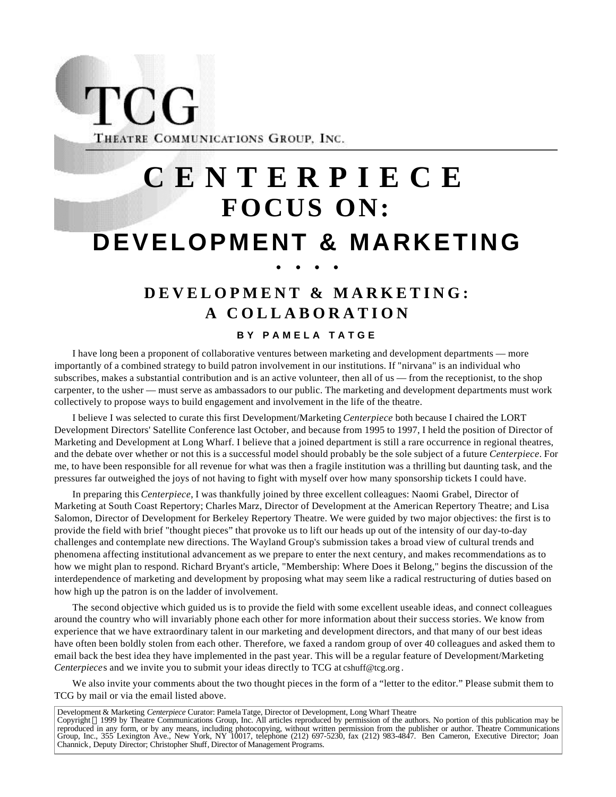**TCG** THEATRE COMMUNICATIONS GROUP, INC.

# **CENTERPIECE FOCUS ON: DEVELOPMENT & MARKETING • • • •**

## **DEVELOPMENT & MARKETING: A COLLABORATION**

#### **BY PAMELA TATGE**

I have long been a proponent of collaborative ventures between marketing and development departments — more importantly of a combined strategy to build patron involvement in our institutions. If "nirvana" is an individual who subscribes, makes a substantial contribution and is an active volunteer, then all of us — from the receptionist, to the shop carpenter, to the usher — must serve as ambassadors to our public. The marketing and development departments must work collectively to propose ways to build engagement and involvement in the life of the theatre.

I believe I was selected to curate this first Development/Marketing *Centerpiece* both because I chaired the LORT Development Directors' Satellite Conference last October, and because from 1995 to 1997, I held the position of Director of Marketing and Development at Long Wharf. I believe that a joined department is still a rare occurrence in regional theatres, and the debate over whether or not this is a successful model should probably be the sole subject of a future *Centerpiece*. For me, to have been responsible for all revenue for what was then a fragile institution was a thrilling but daunting task, and the pressures far outweighed the joys of not having to fight with myself over how many sponsorship tickets I could have.

In preparing this *Centerpiece*, I was thankfully joined by three excellent colleagues: Naomi Grabel, Director of Marketing at South Coast Repertory; Charles Marz, Director of Development at the American Repertory Theatre; and Lisa Salomon, Director of Development for Berkeley Repertory Theatre. We were guided by two major objectives: the first is to provide the field with brief "thought pieces" that provoke us to lift our heads up out of the intensity of our day-to-day challenges and contemplate new directions. The Wayland Group's submission takes a broad view of cultural trends and phenomena affecting institutional advancement as we prepare to enter the next century, and makes recommendations as to how we might plan to respond. Richard Bryant's article, "Membership: Where Does it Belong," begins the discussion of the interdependence of marketing and development by proposing what may seem like a radical restructuring of duties based on how high up the patron is on the ladder of involvement.

The second objective which guided us is to provide the field with some excellent useable ideas, and connect colleagues around the country who will invariably phone each other for more information about their success stories. We know from experience that we have extraordinary talent in our marketing and development directors, and that many of our best ideas have often been boldly stolen from each other. Therefore, we faxed a random group of over 40 colleagues and asked them to email back the best idea they have implemented in the past year. This will be a regular feature of Development/Marketing *Centerpiece*s and we invite you to submit your ideas directly to TCG at cshuff@tcg.org.

We also invite your comments about the two thought pieces in the form of a "letter to the editor." Please submit them to TCG by mail or via the email listed above.

Development & Marketing *Centerpiece* Curator: Pamela Tatge, Director of Development, Long Wharf Theatre Copyright 1999 by Theatre Communications Group, Inc. All articles reproduced by permission of the authors. No portion of this publication may be reproduced in any form, or by any means, including photocopying, without written permission from the publisher or author. Theatre Communications<br>Group, Inc., 355 Lexington Ave., New York, NY 10017, telephone (212) 697-5230 Channick, Deputy Director; Christopher Shuff, Director of Management Programs.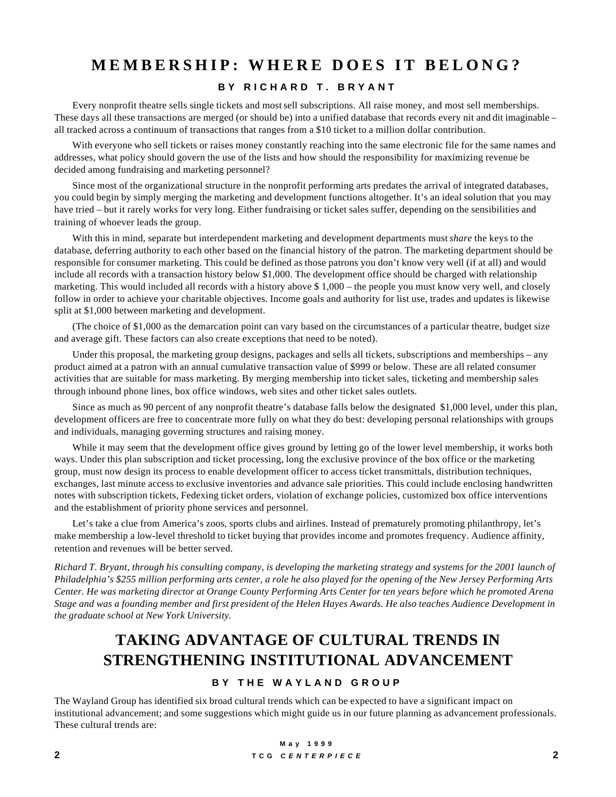## **MEMBERSHIP: WHERE DOES IT BELONG?**

#### **BY RICHARD T. BRYANT**

Every nonprofit theatre sells single tickets and most sell subscriptions. All raise money, and most sell memberships. These days all these transactions are merged (or should be) into a unified database that records every nit and dit imaginable – all tracked across a continuum of transactions that ranges from a \$10 ticket to a million dollar contribution.

With everyone who sell tickets or raises money constantly reaching into the same electronic file for the same names and addresses, what policy should govern the use of the lists and how should the responsibility for maximizing revenue be decided among fundraising and marketing personnel?

Since most of the organizational structure in the nonprofit performing arts predates the arrival of integrated databases, you could begin by simply merging the marketing and development functions altogether. It's an ideal solution that you may have tried – but it rarely works for very long. Either fundraising or ticket sales suffer, depending on the sensibilities and training of whoever leads the group.

With this in mind, separate but interdependent marketing and development departments must *share* the keys to the database, deferring authority to each other based on the financial history of the patron. The marketing department should be responsible for consumer marketing. This could be defined as those patrons you don't know very well (if at all) and would include all records with a transaction history below \$1,000. The development office should be charged with relationship marketing. This would included all records with a history above \$ 1,000 – the people you must know very well, and closely follow in order to achieve your charitable objectives. Income goals and authority for list use, trades and updates is likewise split at \$1,000 between marketing and development.

(The choice of \$1,000 as the demarcation point can vary based on the circumstances of a particular theatre, budget size and average gift. These factors can also create exceptions that need to be noted).

Under this proposal, the marketing group designs, packages and sells all tickets, subscriptions and memberships – any product aimed at a patron with an annual cumulative transaction value of \$999 or below. These are all related consumer activities that are suitable for mass marketing. By merging membership into ticket sales, ticketing and membership sales through inbound phone lines, box office windows, web sites and other ticket sales outlets.

Since as much as 90 percent of any nonprofit theatre's database falls below the designated \$1,000 level, under this plan, development officers are free to concentrate more fully on what they do best: developing personal relationships with groups and individuals, managing governing structures and raising money.

While it may seem that the development office gives ground by letting go of the lower level membership, it works both ways. Under this plan subscription and ticket processing, long the exclusive province of the box office or the marketing group, must now design its process to enable development officer to access ticket transmittals, distribution techniques, exchanges, last minute access to exclusive inventories and advance sale priorities. This could include enclosing handwritten notes with subscription tickets, Fedexing ticket orders, violation of exchange policies, customized box office interventions and the establishment of priority phone services and personnel.

Let's take a clue from America's zoos, sports clubs and airlines. Instead of prematurely promoting philanthropy, let's make membership a low-level threshold to ticket buying that provides income and promotes frequency. Audience affinity, retention and revenues will be better served.

*Richard T. Bryant, through his consulting company, is developing the marketing strategy and systems for the 2001 launch of Philadelphia's \$255 million performing arts center, a role he also played for the opening of the New Jersey Performing Arts Center. He was marketing director at Orange County Performing Arts Center for ten years before which he promoted Arena Stage and was a founding member and first president of the Helen Hayes Awards. He also teaches Audience Development in the graduate school at New York University.*

## **TAKING ADVANTAGE OF CULTURAL TRENDS IN STRENGTHENING INSTITUTIONAL ADVANCEMENT**

#### **BY THE WAYLAND GROUP**

The Wayland Group has identified six broad cultural trends which can be expected to have a significant impact on institutional advancement; and some suggestions which might guide us in our future planning as advancement professionals. These cultural trends are: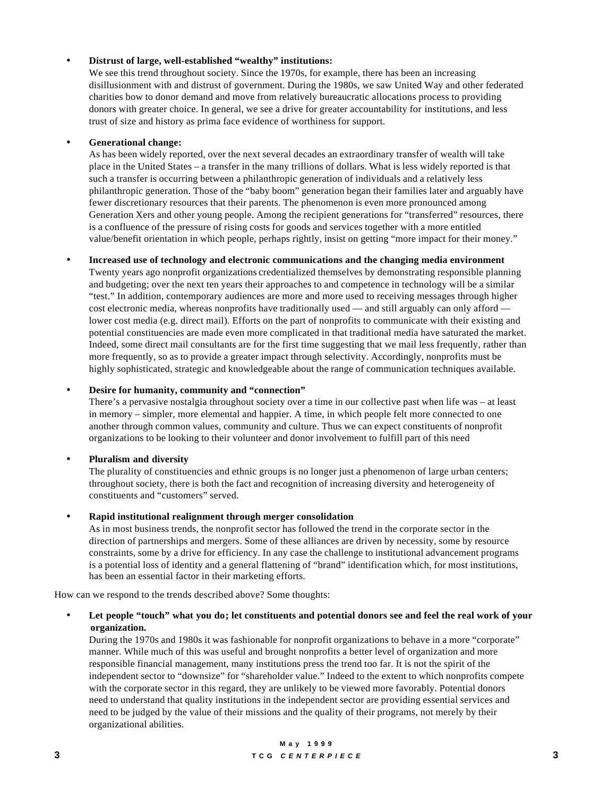#### • **Distrust of large, well-established "wealthy" institutions:**

We see this trend throughout society. Since the 1970s, for example, there has been an increasing disillusionment with and distrust of government. During the 1980s, we saw United Way and other federated charities bow to donor demand and move from relatively bureaucratic allocations process to providing donors with greater choice. In general, we see a drive for greater accountability for institutions, and less trust of size and history as prima face evidence of worthiness for support.

#### • **Generational change:**

As has been widely reported, over the next several decades an extraordinary transfer of wealth will take place in the United States – a transfer in the many trillions of dollars. What is less widely reported is that such a transfer is occurring between a philanthropic generation of individuals and a relatively less philanthropic generation. Those of the "baby boom" generation began their families later and arguably have fewer discretionary resources that their parents. The phenomenon is even more pronounced among Generation Xers and other young people. Among the recipient generations for "transferred" resources, there is a confluence of the pressure of rising costs for goods and services together with a more entitled value/benefit orientation in which people, perhaps rightly, insist on getting "more impact for their money."

#### • **Increased use of technology and electronic communications and the changing media environment**

Twenty years ago nonprofit organizations credentialized themselves by demonstrating responsible planning and budgeting; over the next ten years their approaches to and competence in technology will be a similar "test." In addition, contemporary audiences are more and more used to receiving messages through higher cost electronic media, whereas nonprofits have traditionally used — and still arguably can only afford lower cost media (e.g. direct mail). Efforts on the part of nonprofits to communicate with their existing and potential constituencies are made even more complicated in that traditional media have saturated the market. Indeed, some direct mail consultants are for the first time suggesting that we mail less frequently, rather than more frequently, so as to provide a greater impact through selectivity. Accordingly, nonprofits must be highly sophisticated, strategic and knowledgeable about the range of communication techniques available.

#### • **Desire for humanity, community and "connection"**

There's a pervasive nostalgia throughout society over a time in our collective past when life was – at least in memory – simpler, more elemental and happier. A time, in which people felt more connected to one another through common values, community and culture. Thus we can expect constituents of nonprofit organizations to be looking to their volunteer and donor involvement to fulfill part of this need

#### • **Pluralism and diversity**

The plurality of constituencies and ethnic groups is no longer just a phenomenon of large urban centers; throughout society, there is both the fact and recognition of increasing diversity and heterogeneity of constituents and "customers" served.

#### • **Rapid institutional realignment through merger consolidation**

As in most business trends, the nonprofit sector has followed the trend in the corporate sector in the direction of partnerships and mergers. Some of these alliances are driven by necessity, some by resource constraints, some by a drive for efficiency. In any case the challenge to institutional advancement programs is a potential loss of identity and a general flattening of "brand" identification which, for most institutions, has been an essential factor in their marketing efforts.

How can we respond to the trends described above? Some thoughts:

#### • **Let people "touch" what you do; let constituents and potential donors see and feel the real work of your organization.**

During the 1970s and 1980s it was fashionable for nonprofit organizations to behave in a more "corporate" manner. While much of this was useful and brought nonprofits a better level of organization and more responsible financial management, many institutions press the trend too far. It is not the spirit of the independent sector to "downsize" for "shareholder value." Indeed to the extent to which nonprofits compete with the corporate sector in this regard, they are unlikely to be viewed more favorably. Potential donors need to understand that quality institutions in the independent sector are providing essential services and need to be judged by the value of their missions and the quality of their programs, not merely by their organizational abilities.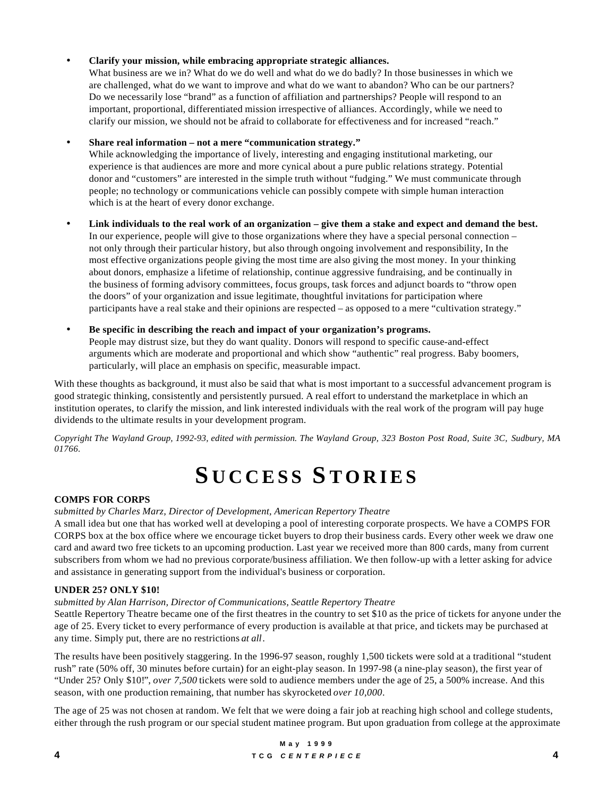#### • **Clarify your mission, while embracing appropriate strategic alliances.**

What business are we in? What do we do well and what do we do badly? In those businesses in which we are challenged, what do we want to improve and what do we want to abandon? Who can be our partners? Do we necessarily lose "brand" as a function of affiliation and partnerships? People will respond to an important, proportional, differentiated mission irrespective of alliances. Accordingly, while we need to clarify our mission, we should not be afraid to collaborate for effectiveness and for increased "reach."

#### • **Share real information – not a mere "communication strategy."**

While acknowledging the importance of lively, interesting and engaging institutional marketing, our experience is that audiences are more and more cynical about a pure public relations strategy. Potential donor and "customers" are interested in the simple truth without "fudging." We must communicate through people; no technology or communications vehicle can possibly compete with simple human interaction which is at the heart of every donor exchange.

- **Link individuals to the real work of an organization give them a stake and expect and demand the best.** In our experience, people will give to those organizations where they have a special personal connection – not only through their particular history, but also through ongoing involvement and responsibility, In the most effective organizations people giving the most time are also giving the most money. In your thinking about donors, emphasize a lifetime of relationship, continue aggressive fundraising, and be continually in the business of forming advisory committees, focus groups, task forces and adjunct boards to "throw open the doors" of your organization and issue legitimate, thoughtful invitations for participation where participants have a real stake and their opinions are respected – as opposed to a mere "cultivation strategy."
- **Be specific in describing the reach and impact of your organization's programs.** People may distrust size, but they do want quality. Donors will respond to specific cause-and-effect arguments which are moderate and proportional and which show "authentic" real progress. Baby boomers, particularly, will place an emphasis on specific, measurable impact.

With these thoughts as background, it must also be said that what is most important to a successful advancement program is good strategic thinking, consistently and persistently pursued. A real effort to understand the marketplace in which an institution operates, to clarify the mission, and link interested individuals with the real work of the program will pay huge dividends to the ultimate results in your development program.

*Copyright The Wayland Group, 1992-93, edited with permission. The Wayland Group, 323 Boston Post Road, Suite 3C, Sudbury, MA 01766.*

# **S UCCESS S TORIES**

#### **COMPS FOR CORPS**

#### *submitted by Charles Marz, Director of Development, American Repertory Theatre*

A small idea but one that has worked well at developing a pool of interesting corporate prospects. We have a COMPS FOR CORPS box at the box office where we encourage ticket buyers to drop their business cards. Every other week we draw one card and award two free tickets to an upcoming production. Last year we received more than 800 cards, many from current subscribers from whom we had no previous corporate/business affiliation. We then follow-up with a letter asking for advice and assistance in generating support from the individual's business or corporation.

#### **UNDER 25? ONLY \$10!**

#### *submitted by Alan Harrison, Director of Communications, Seattle Repertory Theatre*

Seattle Repertory Theatre became one of the first theatres in the country to set \$10 as the price of tickets for anyone under the age of 25. Every ticket to every performance of every production is available at that price, and tickets may be purchased at any time. Simply put, there are no restrictions *at all*.

The results have been positively staggering. In the 1996-97 season, roughly 1,500 tickets were sold at a traditional "student rush" rate (50% off, 30 minutes before curtain) for an eight-play season. In 1997-98 (a nine-play season), the first year of "Under 25? Only \$10!", *over 7,500* tickets were sold to audience members under the age of 25, a 500% increase. And this season, with one production remaining, that number has skyrocketed *over 10,000*.

The age of 25 was not chosen at random. We felt that we were doing a fair job at reaching high school and college students, either through the rush program or our special student matinee program. But upon graduation from college at the approximate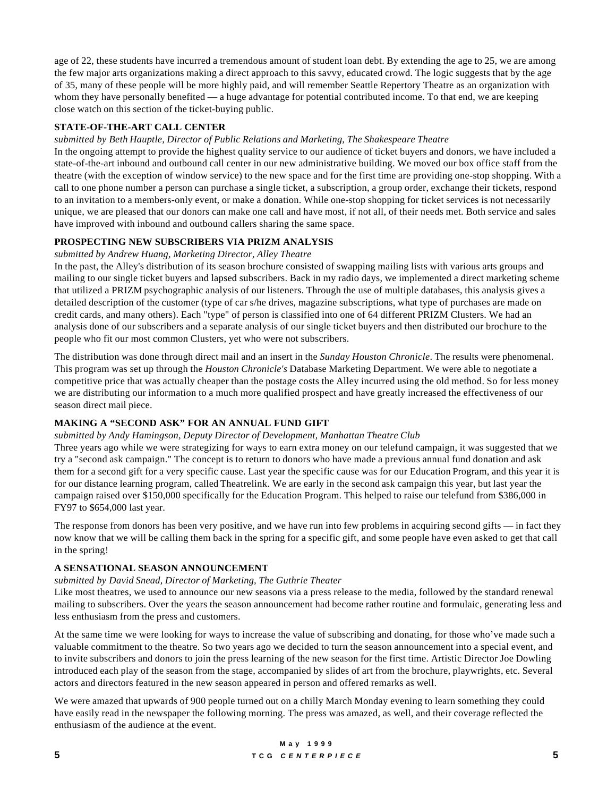age of 22, these students have incurred a tremendous amount of student loan debt. By extending the age to 25, we are among the few major arts organizations making a direct approach to this savvy, educated crowd. The logic suggests that by the age of 35, many of these people will be more highly paid, and will remember Seattle Repertory Theatre as an organization with whom they have personally benefited — a huge advantage for potential contributed income. To that end, we are keeping close watch on this section of the ticket-buying public.

#### **STATE-OF-THE-ART CALL CENTER**

#### *submitted by Beth Hauptle, Director of Public Relations and Marketing, The Shakespeare Theatre*

In the ongoing attempt to provide the highest quality service to our audience of ticket buyers and donors, we have included a state-of-the-art inbound and outbound call center in our new administrative building. We moved our box office staff from the theatre (with the exception of window service) to the new space and for the first time are providing one-stop shopping. With a call to one phone number a person can purchase a single ticket, a subscription, a group order, exchange their tickets, respond to an invitation to a members-only event, or make a donation. While one-stop shopping for ticket services is not necessarily unique, we are pleased that our donors can make one call and have most, if not all, of their needs met. Both service and sales have improved with inbound and outbound callers sharing the same space.

#### **PROSPECTING NEW SUBSCRIBERS VIA PRIZM ANALYSIS**

#### *submitted by Andrew Huang, Marketing Director, Alley Theatre*

In the past, the Alley's distribution of its season brochure consisted of swapping mailing lists with various arts groups and mailing to our single ticket buyers and lapsed subscribers. Back in my radio days, we implemented a direct marketing scheme that utilized a PRIZM psychographic analysis of our listeners. Through the use of multiple databases, this analysis gives a detailed description of the customer (type of car s/he drives, magazine subscriptions, what type of purchases are made on credit cards, and many others). Each "type" of person is classified into one of 64 different PRIZM Clusters. We had an analysis done of our subscribers and a separate analysis of our single ticket buyers and then distributed our brochure to the people who fit our most common Clusters, yet who were not subscribers.

The distribution was done through direct mail and an insert in the *Sunday Houston Chronicle*. The results were phenomenal. This program was set up through the *Houston Chronicle's* Database Marketing Department. We were able to negotiate a competitive price that was actually cheaper than the postage costs the Alley incurred using the old method. So for less money we are distributing our information to a much more qualified prospect and have greatly increased the effectiveness of our season direct mail piece.

#### **MAKING A "SECOND ASK" FOR AN ANNUAL FUND GIFT**

#### *submitted by Andy Hamingson, Deputy Director of Development, Manhattan Theatre Club*

Three years ago while we were strategizing for ways to earn extra money on our telefund campaign, it was suggested that we try a "second ask campaign." The concept is to return to donors who have made a previous annual fund donation and ask them for a second gift for a very specific cause. Last year the specific cause was for our Education Program, and this year it is for our distance learning program, called Theatrelink. We are early in the second ask campaign this year, but last year the campaign raised over \$150,000 specifically for the Education Program. This helped to raise our telefund from \$386,000 in FY97 to \$654,000 last year.

The response from donors has been very positive, and we have run into few problems in acquiring second gifts — in fact they now know that we will be calling them back in the spring for a specific gift, and some people have even asked to get that call in the spring!

#### **A SENSATIONAL SEASON ANNOUNCEMENT**

#### *submitted by David Snead, Director of Marketing, The Guthrie Theater*

Like most theatres, we used to announce our new seasons via a press release to the media, followed by the standard renewal mailing to subscribers. Over the years the season announcement had become rather routine and formulaic, generating less and less enthusiasm from the press and customers.

At the same time we were looking for ways to increase the value of subscribing and donating, for those who've made such a valuable commitment to the theatre. So two years ago we decided to turn the season announcement into a special event, and to invite subscribers and donors to join the press learning of the new season for the first time. Artistic Director Joe Dowling introduced each play of the season from the stage, accompanied by slides of art from the brochure, playwrights, etc. Several actors and directors featured in the new season appeared in person and offered remarks as well.

We were amazed that upwards of 900 people turned out on a chilly March Monday evening to learn something they could have easily read in the newspaper the following morning. The press was amazed, as well, and their coverage reflected the enthusiasm of the audience at the event.